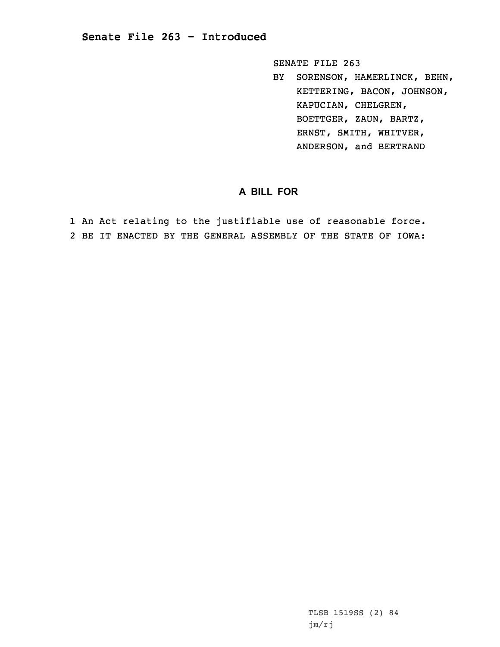## **Senate File 263 - Introduced**

SENATE FILE 263

BY SORENSON, HAMERLINCK, BEHN, KETTERING, BACON, JOHNSON, KAPUCIAN, CHELGREN, BOETTGER, ZAUN, BARTZ, ERNST, SMITH, WHITVER, ANDERSON, and BERTRAND

## **A BILL FOR**

1 An Act relating to the justifiable use of reasonable force. 2 BE IT ENACTED BY THE GENERAL ASSEMBLY OF THE STATE OF IOWA:

> TLSB 1519SS (2) 84 jm/rj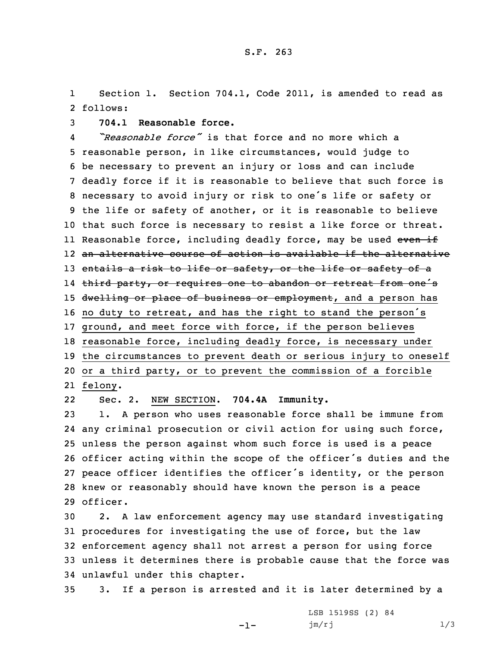1 Section 1. Section 704.1, Code 2011, is amended to read as 2 follows:

3 **704.1 Reasonable force.**

4 *"Reasonable force"* is that force and no more which <sup>a</sup> reasonable person, in like circumstances, would judge to be necessary to prevent an injury or loss and can include deadly force if it is reasonable to believe that such force is necessary to avoid injury or risk to one's life or safety or the life or safety of another, or it is reasonable to believe that such force is necessary to resist <sup>a</sup> like force or threat. ll Reasonable force, including deadly force, may be used <del>even if</del> an alternative course of action is available if the alternative 13 entails a risk to life or safety, or the life or safety of a third party, or requires one to abandon or retreat from one's 15 dwelling or place of business or employment, and a person has no duty to retreat, and has the right to stand the person's ground, and meet force with force, if the person believes reasonable force, including deadly force, is necessary under the circumstances to prevent death or serious injury to oneself or <sup>a</sup> third party, or to prevent the commission of <sup>a</sup> forcible 21 felony.

22Sec. 2. NEW SECTION. **704.4A Immunity.**

 1. <sup>A</sup> person who uses reasonable force shall be immune from any criminal prosecution or civil action for using such force, unless the person against whom such force is used is <sup>a</sup> peace officer acting within the scope of the officer's duties and the peace officer identifies the officer's identity, or the person knew or reasonably should have known the person is <sup>a</sup> peace 29 officer.

 2. <sup>A</sup> law enforcement agency may use standard investigating procedures for investigating the use of force, but the law enforcement agency shall not arrest <sup>a</sup> person for using force unless it determines there is probable cause that the force was unlawful under this chapter.

35 3. If <sup>a</sup> person is arrested and it is later determined by <sup>a</sup>

-1-

LSB 1519SS (2) 84 jm/rj 1/3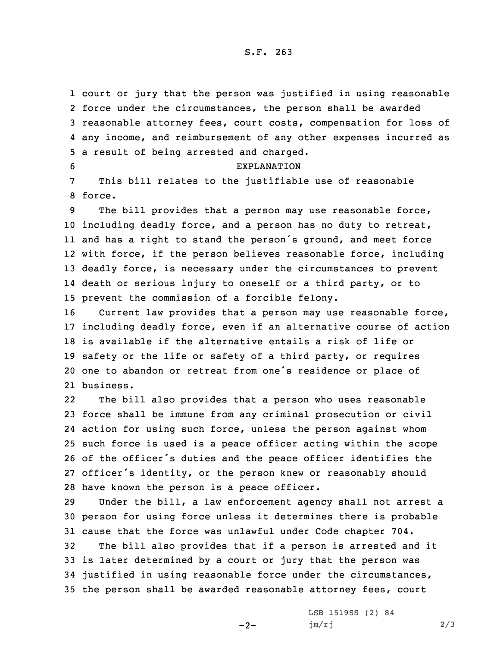court or jury that the person was justified in using reasonable force under the circumstances, the person shall be awarded reasonable attorney fees, court costs, compensation for loss of any income, and reimbursement of any other expenses incurred as <sup>a</sup> result of being arrested and charged.

7 This bill relates to the justifiable use of reasonable 8 force.

6 EXPLANATION

 The bill provides that <sup>a</sup> person may use reasonable force, including deadly force, and <sup>a</sup> person has no duty to retreat, and has <sup>a</sup> right to stand the person's ground, and meet force with force, if the person believes reasonable force, including deadly force, is necessary under the circumstances to prevent death or serious injury to oneself or <sup>a</sup> third party, or to prevent the commission of <sup>a</sup> forcible felony.

 Current law provides that <sup>a</sup> person may use reasonable force, including deadly force, even if an alternative course of action is available if the alternative entails <sup>a</sup> risk of life or safety or the life or safety of <sup>a</sup> third party, or requires one to abandon or retreat from one's residence or place of business.

22 The bill also provides that <sup>a</sup> person who uses reasonable force shall be immune from any criminal prosecution or civil action for using such force, unless the person against whom such force is used is <sup>a</sup> peace officer acting within the scope of the officer's duties and the peace officer identifies the officer's identity, or the person knew or reasonably should have known the person is <sup>a</sup> peace officer.

29 Under the bill, <sup>a</sup> law enforcement agency shall not arrest <sup>a</sup> 30 person for using force unless it determines there is probable 31 cause that the force was unlawful under Code chapter 704.

 The bill also provides that if <sup>a</sup> person is arrested and it is later determined by <sup>a</sup> court or jury that the person was justified in using reasonable force under the circumstances, the person shall be awarded reasonable attorney fees, court

 $-2-$ 

LSB 1519SS (2) 84 jm/rj 2/3